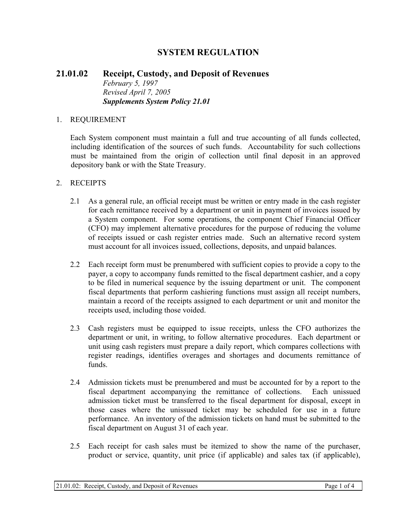# **SYSTEM REGULATION**

### **21.01.02 Receipt, Custody, and Deposit of Revenues**  *February 5, 1997 Revised April 7, 2005 Supplements System Policy 21.01*

#### 1. REQUIREMENT

Each System component must maintain a full and true accounting of all funds collected, including identification of the sources of such funds. Accountability for such collections must be maintained from the origin of collection until final deposit in an approved depository bank or with the State Treasury.

#### 2. RECEIPTS

- 2.1 As a general rule, an official receipt must be written or entry made in the cash register for each remittance received by a department or unit in payment of invoices issued by a System component. For some operations, the component Chief Financial Officer (CFO) may implement alternative procedures for the purpose of reducing the volume of receipts issued or cash register entries made. Such an alternative record system must account for all invoices issued, collections, deposits, and unpaid balances.
- 2.2 Each receipt form must be prenumbered with sufficient copies to provide a copy to the payer, a copy to accompany funds remitted to the fiscal department cashier, and a copy to be filed in numerical sequence by the issuing department or unit. The component fiscal departments that perform cashiering functions must assign all receipt numbers, maintain a record of the receipts assigned to each department or unit and monitor the receipts used, including those voided.
- 2.3 Cash registers must be equipped to issue receipts, unless the CFO authorizes the department or unit, in writing, to follow alternative procedures. Each department or unit using cash registers must prepare a daily report, which compares collections with register readings, identifies overages and shortages and documents remittance of funds.
- 2.4 Admission tickets must be prenumbered and must be accounted for by a report to the fiscal department accompanying the remittance of collections. Each unissued admission ticket must be transferred to the fiscal department for disposal, except in those cases where the unissued ticket may be scheduled for use in a future performance. An inventory of the admission tickets on hand must be submitted to the fiscal department on August 31 of each year.
- 2.5 Each receipt for cash sales must be itemized to show the name of the purchaser, product or service, quantity, unit price (if applicable) and sales tax (if applicable),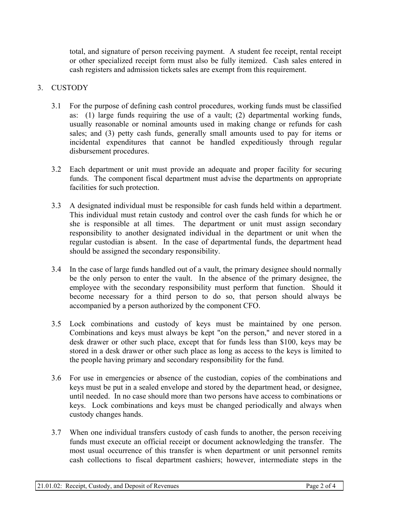total, and signature of person receiving payment. A student fee receipt, rental receipt or other specialized receipt form must also be fully itemized. Cash sales entered in cash registers and admission tickets sales are exempt from this requirement.

# 3. CUSTODY

- 3.1 For the purpose of defining cash control procedures, working funds must be classified as: (1) large funds requiring the use of a vault; (2) departmental working funds, usually reasonable or nominal amounts used in making change or refunds for cash sales; and (3) petty cash funds, generally small amounts used to pay for items or incidental expenditures that cannot be handled expeditiously through regular disbursement procedures.
- 3.2 Each department or unit must provide an adequate and proper facility for securing funds. The component fiscal department must advise the departments on appropriate facilities for such protection.
- 3.3 A designated individual must be responsible for cash funds held within a department. This individual must retain custody and control over the cash funds for which he or she is responsible at all times. The department or unit must assign secondary responsibility to another designated individual in the department or unit when the regular custodian is absent. In the case of departmental funds, the department head should be assigned the secondary responsibility.
- 3.4 In the case of large funds handled out of a vault, the primary designee should normally be the only person to enter the vault. In the absence of the primary designee, the employee with the secondary responsibility must perform that function. Should it become necessary for a third person to do so, that person should always be accompanied by a person authorized by the component CFO.
- 3.5 Lock combinations and custody of keys must be maintained by one person. Combinations and keys must always be kept "on the person," and never stored in a desk drawer or other such place, except that for funds less than \$100, keys may be stored in a desk drawer or other such place as long as access to the keys is limited to the people having primary and secondary responsibility for the fund.
- 3.6 For use in emergencies or absence of the custodian, copies of the combinations and keys must be put in a sealed envelope and stored by the department head, or designee, until needed. In no case should more than two persons have access to combinations or keys. Lock combinations and keys must be changed periodically and always when custody changes hands.
- 3.7 When one individual transfers custody of cash funds to another, the person receiving funds must execute an official receipt or document acknowledging the transfer. The most usual occurrence of this transfer is when department or unit personnel remits cash collections to fiscal department cashiers; however, intermediate steps in the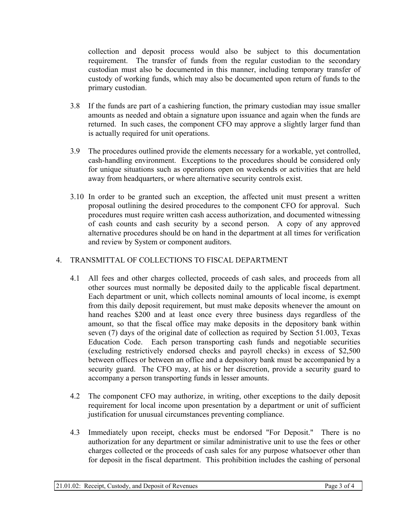collection and deposit process would also be subject to this documentation requirement. The transfer of funds from the regular custodian to the secondary custodian must also be documented in this manner, including temporary transfer of custody of working funds, which may also be documented upon return of funds to the primary custodian.

- 3.8 If the funds are part of a cashiering function, the primary custodian may issue smaller amounts as needed and obtain a signature upon issuance and again when the funds are returned. In such cases, the component CFO may approve a slightly larger fund than is actually required for unit operations.
- 3.9 The procedures outlined provide the elements necessary for a workable, yet controlled, cash-handling environment. Exceptions to the procedures should be considered only for unique situations such as operations open on weekends or activities that are held away from headquarters, or where alternative security controls exist.
- 3.10 In order to be granted such an exception, the affected unit must present a written proposal outlining the desired procedures to the component CFO for approval. Such procedures must require written cash access authorization, and documented witnessing of cash counts and cash security by a second person. A copy of any approved alternative procedures should be on hand in the department at all times for verification and review by System or component auditors.

## 4. TRANSMITTAL OF COLLECTIONS TO FISCAL DEPARTMENT

- 4.1 All fees and other charges collected, proceeds of cash sales, and proceeds from all other sources must normally be deposited daily to the applicable fiscal department. Each department or unit, which collects nominal amounts of local income, is exempt from this daily deposit requirement, but must make deposits whenever the amount on hand reaches \$200 and at least once every three business days regardless of the amount, so that the fiscal office may make deposits in the depository bank within seven (7) days of the original date of collection as required by Section 51.003, Texas Education Code. Each person transporting cash funds and negotiable securities (excluding restrictively endorsed checks and payroll checks) in excess of \$2,500 between offices or between an office and a depository bank must be accompanied by a security guard. The CFO may, at his or her discretion, provide a security guard to accompany a person transporting funds in lesser amounts.
- 4.2 The component CFO may authorize, in writing, other exceptions to the daily deposit requirement for local income upon presentation by a department or unit of sufficient justification for unusual circumstances preventing compliance.
- 4.3 Immediately upon receipt, checks must be endorsed "For Deposit." There is no authorization for any department or similar administrative unit to use the fees or other charges collected or the proceeds of cash sales for any purpose whatsoever other than for deposit in the fiscal department. This prohibition includes the cashing of personal